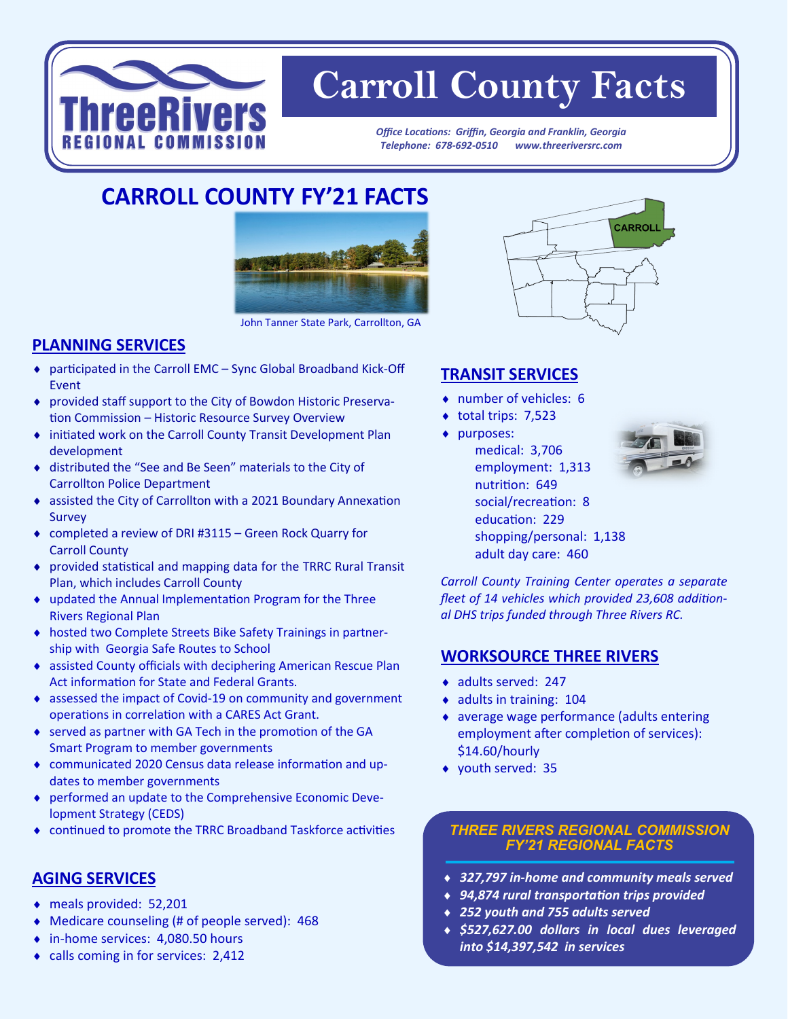

# **Carroll County Facts**

*Office Locations: Griffin, Georgia and Franklin, Georgia Telephone: 678-692-0510 www.threeriversrc.com*

# **CARROLL COUNTY FY'21 FACTS**



John Tanner State Park, Carrollton, GA

## **PLANNING SERVICES**

- participated in the Carroll EMC Sync Global Broadband Kick-Off Event
- provided staff support to the City of Bowdon Historic Preservation Commission – Historic Resource Survey Overview
- initiated work on the Carroll County Transit Development Plan development
- distributed the "See and Be Seen" materials to the City of Carrollton Police Department
- assisted the City of Carrollton with a 2021 Boundary Annexation Survey
- completed a review of DRI #3115 Green Rock Quarry for Carroll County
- provided statistical and mapping data for the TRRC Rural Transit Plan, which includes Carroll County
- updated the Annual Implementation Program for the Three Rivers Regional Plan
- hosted two Complete Streets Bike Safety Trainings in partnership with Georgia Safe Routes to School
- assisted County officials with deciphering American Rescue Plan Act information for State and Federal Grants.
- assessed the impact of Covid-19 on community and government operations in correlation with a CARES Act Grant.
- served as partner with GA Tech in the promotion of the GA Smart Program to member governments
- communicated 2020 Census data release information and updates to member governments
- performed an update to the Comprehensive Economic Development Strategy (CEDS)
- continued to promote the TRRC Broadband Taskforce activities

#### **AGING SERVICES**

- meals provided: 52,201
- Medicare counseling (# of people served): 468
- ◆ in-home services: 4,080.50 hours
- calls coming in for services: 2,412



### **TRANSIT SERVICES**

- number of vehicles: 6
- $\bullet$  total trips: 7,523
- purposes: medical: 3,706 employment: 1,313 nutrition: 649 social/recreation: 8 education: 229 shopping/personal: 1,138 adult day care: 460



*Carroll County Training Center operates a separate fleet of 14 vehicles which provided 23,608 additional DHS trips funded through Three Rivers RC.* 

#### **WORKSOURCE THREE RIVERS**

- ◆ adults served: 247
- adults in training: 104
- average wage performance (adults entering employment after completion of services): \$14.60/hourly
- youth served: 35

#### *THREE RIVERS REGIONAL COMMISSION FY'21 REGIONAL FACTS*

- *327,797 in-home and community meals served*
- *94,874 rural transportation trips provided*
- *252 youth and 755 adults served*
- *\$527,627.00 dollars in local dues leveraged into \$14,397,542 in services*